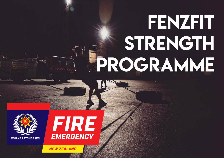# fenzfit STRENGTH Programme





**NEW ZEALAND**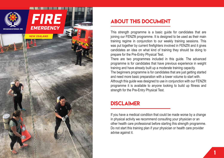

## ABOUT THIS DOCUMENT

This strength programme is a basic guide for candidates that are joining our FENZfit programme. It is designed to be used as their main training regime in conjunction to our weekly training sessions. This was put together by current firefighters involved in FENZfit and it gives candidates an idea on what kind of training they should be doing to prepare for the Pre-Entry Physical Test.

There are two programmes included in this guide. The advanced programme is for candidates that have previous experience in weight training and have already built up a moderate training capacity. The beginners programme is for candidates that are just getting started and need more basic preparation with a lower volume to start with. Although this guide was designed to use in conjunction with our FENZfit

programme it is available to anyone looking to build up fitness and strength for the Pre-Entry Physical Test.

## **DISCLAIMER**

If you have a medical condition that could be made worse by a change in physical activity we recommend consulting your physician or an other health care professional before starting this strength programme. Do not start this training plan if your physician or health care provider advise against it.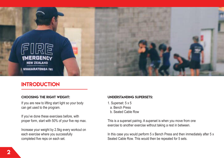

## **INTRODUCTION**

#### CHOOSING THE RIGHT WEIGHT:

If you are new to lifting start light so your body can get used to the program.

If you've done these exercises before, with proper form, start with 50% of your five rep max.

Increase your weight by 2.5kg every workout on each exercise where you successfully completed five reps on each set.

#### understanding supersets:

- 1. Superset: 5 x 5
	- a. Bench Press
	- b. Seated Cable Row

This is a superset pairing. A superset is when you move from one exercise to another exercise without taking a rest in between.

In this case you would perform 5 x Bench Press and then immediately after 5 x Seated Cable Row. This would then be repeated for 5 sets.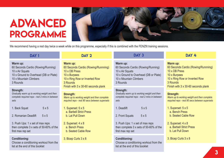## ADVANCED PROGRAMME



We recommend having a rest day twice a week while on this programme, especially if this is combined with the FENZfit training sessions.

| <b>DAY1</b>                                                                                                                                      | DAY <sub>3</sub><br>DAY <sub>2</sub>                                                                                                                                                                                                                                                                                     |                                                                                                                      | DAY 4                                                                                                                                                                |
|--------------------------------------------------------------------------------------------------------------------------------------------------|--------------------------------------------------------------------------------------------------------------------------------------------------------------------------------------------------------------------------------------------------------------------------------------------------------------------------|----------------------------------------------------------------------------------------------------------------------|----------------------------------------------------------------------------------------------------------------------------------------------------------------------|
| Warm up:<br>60 Seconds Cardio (Rowing/Running)<br>10 x Air Squats<br>10 x Ground to Overhead (DB or Plate)<br>10 x Mountain Climbers<br>3 Rounds | Warm up:<br>Warm up:<br>60 Seconds Cardio (Rowing/Runnning)<br>60 Seconds Cardio (Rowing/Running)<br>10 x DB Press<br>10 x Air Squats<br>10 x Burpees<br>10 x Ground to Overhead (DB or Plate)<br>10 x Ring Row or Inverted Row<br>10 x Mountain Climbers<br>3 Rounds<br>3 Rounds<br>Finish with 3 x 30-60 seconds plank |                                                                                                                      | Warm up:<br>60 Seconds Cardio (Rowing/Runnning)<br>10 x DB Press<br>10 x Burpees<br>10 x Ring Row or Inverted Row<br>3 Rounds<br>Finish with 3 x 30-60 seconds plank |
| Strength:<br>Gradually warm up to working weight and then<br>complete required reps - rest 2 mins in between<br>sets                             | Strength:<br>Warm up to working weight and then complete<br>required reps - rest 90 secs between supersets                                                                                                                                                                                                               | Strength:<br>Gradually warm up to working weight and then<br>complete required reps - rest 2 mins in between<br>sets | Strength:<br>Warm up to working weight and then complete<br>required reps - rest 90 secs between supersets                                                           |
| 5x5<br>1. Back Squat<br>2. Romanian Deadlift<br>5x5                                                                                              | 1. Superset: $5 \times 5$<br>a. Barbell Strict Press<br>b. Lat Pull Down                                                                                                                                                                                                                                                 | 5x5<br>1. Deadlift<br>2. Front Squats<br>5x5                                                                         | 1. Superset: 5 x 5<br>a. Bench Press<br>b. Seated Cable Row                                                                                                          |
| 3. Push Ups: 1 x set of max reps<br>then complete 3 x sets of 50-60% of the<br>first max rep set                                                 | 2. Superset: $4 \times 8$<br>a. Bench Press<br>b. Seated Cable Row                                                                                                                                                                                                                                                       | 3. Push Ups: 1 x set of max reps<br>then complete 3 x sets of 50-60% of the<br>first max rep set                     | 2. Superset: 4 x 8<br>a. Barbell Strict Press<br>b. Lat Pull Down                                                                                                    |
| <b>Conditioning:</b><br>Choose a conditioning workout from the<br>list at the end of this booklet                                                | 3. Bicep Curls 3 x 8                                                                                                                                                                                                                                                                                                     | <b>Conditioning:</b><br>Choose a conditioning workout from the<br>list at the end of this booklet                    | 3. Bicep Curls 3 x 8                                                                                                                                                 |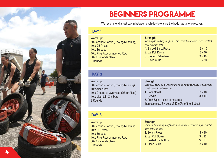

## BEGINNERS PROGRAMME

We recommend a rest day in between each day to ensure the body has time to recover.

#### DAY<sub>1</sub>

| Warm up:                            | Strength:                                                           |               |
|-------------------------------------|---------------------------------------------------------------------|---------------|
| 60 Seconds Cardio (Rowing/Runnning) | Warm up to working weight and then complete required reps - rest 90 |               |
| 10 x DB Press                       | secs between sets                                                   |               |
| 10 x Burpees                        | 1. Barbell Strict Press                                             | $3 \times 10$ |
| 10 x Ring Row or Inverted Row       | 2. Lat Pull Down                                                    | $3 \times 10$ |
| 30-60 seconds plank                 | 3. Seated Cable Row                                                 | $3 \times 10$ |
| 3 Rounds                            | 3. Bicep Curls                                                      | $3 \times 10$ |

#### DAY<sub>2</sub>

| Warm up:                                          | Strength:                                                           |               |
|---------------------------------------------------|---------------------------------------------------------------------|---------------|
| 60 Seconds Cardio (Rowing/Running)                | Gradually warm up to working weight and then complete required reps |               |
| 10 x Air Squats                                   | - rest 2 mins in between sets                                       |               |
| 10 x Ground to Overhead (DB or Plate)             | 1. Back Squat                                                       | $3 \times 10$ |
| 10 x Mountain Climbers                            | 2. Deadlift                                                         | $3 \times 10$ |
| 3 Rounds                                          | 3. Push Ups: 1 x set of max reps                                    |               |
| then complete 3 x sets of 50-60% of the first set |                                                                     |               |

### DAY<sub>3</sub>

**Warm up:**  60 Seconds Cardio (Rowing/Runnning) 10 x DB Press 10 x Burpees 10 x Ring Row or Inverted Row 30-60 seconds plank 3 Rounds

### **Strength:**

| Warm up to working weight and then complete required reps - rest 90 |               |
|---------------------------------------------------------------------|---------------|
| secs between sets                                                   |               |
| 1. Bench Press                                                      | $3 \times 10$ |
| 2. Lat Pull Down                                                    | $3 \times 10$ |
| 3. Seated Cable Row                                                 | $3 \times 10$ |
| 4. Bicep Curls                                                      | $3 \times 10$ |
|                                                                     |               |